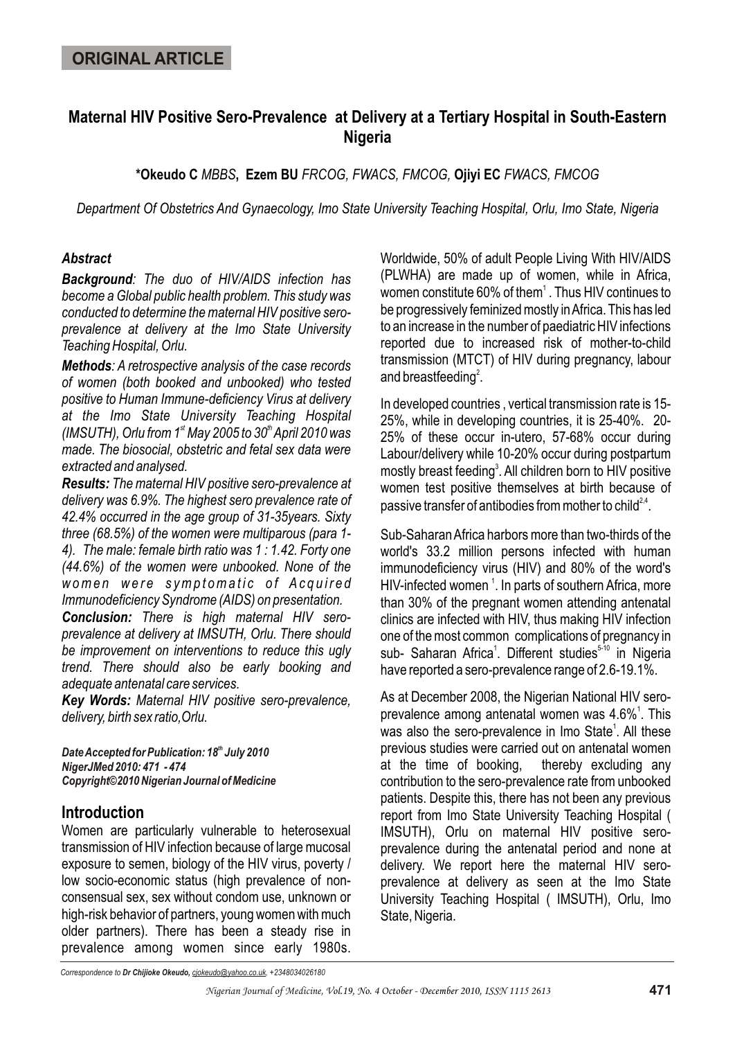# **Maternal HIV Positive Sero-Prevalence at Delivery at a Tertiary Hospital in South-Eastern Nigeria**

**\*Okeudo C** *MBBS***, Ezem BU** *FRCOG, FWACS, FMCOG,* **Ojiyi EC** *FWACS, FMCOG*

*Department Of Obstetrics And Gynaecology, Imo State University Teaching Hospital, Orlu, Imo State, Nigeria*

#### *Abstract*

*Background: The duo of HIV/AIDS infection has become a Global public health problem. This study was conducted to determine the maternal HIV positive seroprevalence at delivery at the Imo State University Teaching Hospital, Orlu.*

*Methods: A retrospective analysis of the case records of women (both booked and unbooked) who tested positive to Human Immune-deficiency Virus at delivery at the Imo State University Teaching Hospital (IMSUTH), Orlu from 1<sup>st</sup> May 2005 to 30<sup>th</sup> April 2010 was made. The biosocial, obstetric and fetal sex data were extracted and analysed.* 

*Results: The maternal HIV positive sero-prevalence at delivery was 6.9%. The highest sero prevalence rate of 42.4% occurred in the age group of 31-35years. Sixty three (68.5%) of the women were multiparous (para 1- 4). The male: female birth ratio was 1 : 1.42. Forty one (44.6%) of the women were unbooked. None of the women were symptomatic of Acquired Immunodeficiency Syndrome (AIDS) on presentation.*

*Conclusion: There is high maternal HIV seroprevalence at delivery at IMSUTH, Orlu. There should be improvement on interventions to reduce this ugly trend. There should also be early booking and adequate antenatal care services.*

*Key Words: Maternal HIV positive sero-prevalence, delivery, birth sex ratio,Orlu.*

**Date Accepted for Publication: 18<sup>th</sup> July 2010** *NigerJMed 2010: 471 - 474 Copyright©2010 Nigerian Journal of Medicine*

## **Introduction**

Women are particularly vulnerable to heterosexual transmission of HIV infection because of large mucosal exposure to semen, biology of the HIV virus, poverty / low socio-economic status (high prevalence of nonconsensual sex, sex without condom use, unknown or high-risk behavior of partners, young women with much older partners). There has been a steady rise in prevalence among women since early 1980s.

Worldwide, 50% of adult People Living With HIV/AIDS (PLWHA) are made up of women, while in Africa, women constitute 60% of them $^{\rm 1}$  . Thus HIV continues to be progressively feminized mostly in Africa. This has led to an increase in the number of paediatric HIV infections reported due to increased risk of mother-to-child transmission (MTCT) of HIV during pregnancy, labour and breastfeeding $^2$ .

In developed countries , vertical transmission rate is 15- 25%, while in developing countries, it is 25-40%. 20- 25% of these occur in-utero, 57-68% occur during Labour/delivery while 10-20% occur during postpartum mostly breast feeding<sup>3</sup>. All children born to HIV positive women test positive themselves at birth because of passive transfer of antibodies from mother to child  $2.4$ .

Sub-Saharan Africa harbors more than two-thirds of the world's 33.2 million persons infected with human immunodeficiency virus (HIV) and 80% of the word's HIV-infected women <sup>1</sup>. In parts of southern Africa, more than 30% of the pregnant women attending antenatal clinics are infected with HIV, thus making HIV infection one of the most common complications of pregnancy in sub- Saharan Africa<sup>1</sup>. Different studies<sup>5-10</sup> in Nigeria have reported a sero-prevalence range of 2.6-19.1%.

As at December 2008, the Nigerian National HIV seroprevalence among antenatal women was  $4.6\%$ <sup>1</sup>. This was also the sero-prevalence in Imo State<sup>1</sup>. All these previous studies were carried out on antenatal women at the time of booking, thereby excluding any contribution to the sero-prevalence rate from unbooked patients. Despite this, there has not been any previous report from Imo State University Teaching Hospital ( IMSUTH), Orlu on maternal HIV positive seroprevalence during the antenatal period and none at delivery. We report here the maternal HIV seroprevalence at delivery as seen at the Imo State University Teaching Hospital ( IMSUTH), Orlu, Imo State, Nigeria.

*Correspondence to Dr Chijioke Okeudo, cjokeudo@yahoo.co.uk, +2348034026180*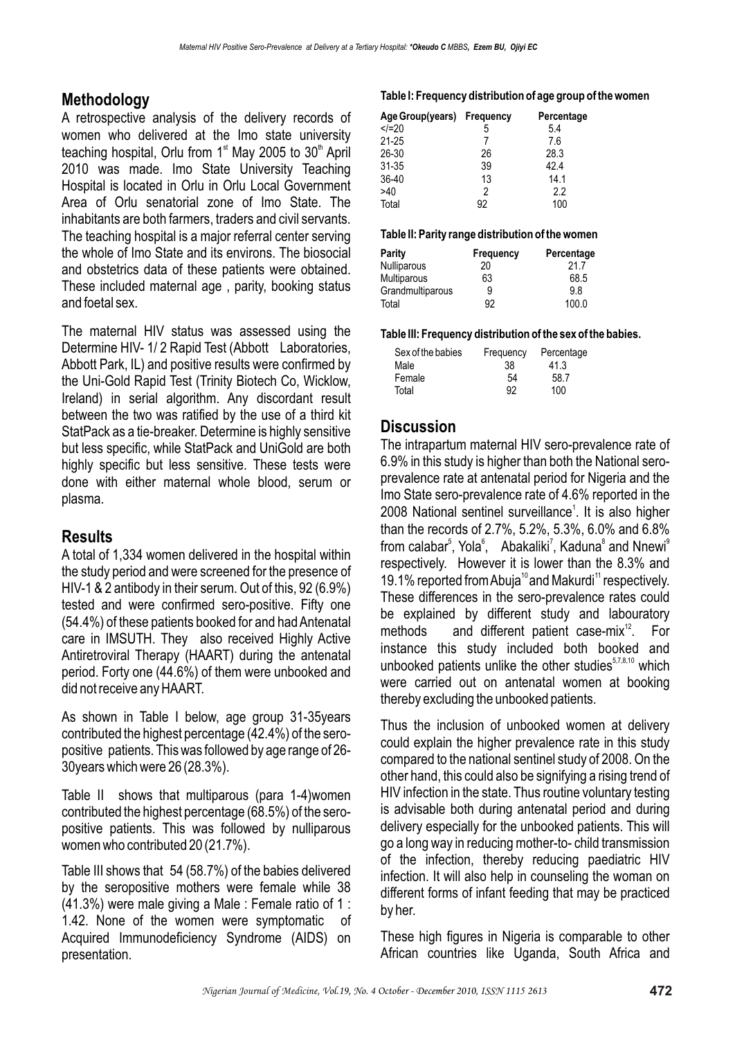# **Methodology**

A retrospective analysis of the delivery records of women who delivered at the Imo state university teaching hospital, Orlu from  $1<sup>st</sup>$  May 2005 to 30<sup>th</sup> April 2010 was made. Imo State University Teaching Hospital is located in Orlu in Orlu Local Government Area of Orlu senatorial zone of Imo State. The inhabitants are both farmers, traders and civil servants. The teaching hospital is a major referral center serving the whole of Imo State and its environs. The biosocial and obstetrics data of these patients were obtained. These included maternal age , parity, booking status and foetal sex.

The maternal HIV status was assessed using the Determine HIV- 1/ 2 Rapid Test (Abbott Laboratories, Abbott Park, IL) and positive results were confirmed by the Uni-Gold Rapid Test (Trinity Biotech Co, Wicklow, Ireland) in serial algorithm. Any discordant result between the two was ratified by the use of a third kit StatPack as a tie-breaker. Determine is highly sensitive but less specific, while StatPack and UniGold are both highly specific but less sensitive. These tests were done with either maternal whole blood, serum or plasma.

## **Results**

A total of 1,334 women delivered in the hospital within the study period and were screened for the presence of HIV-1 & 2 antibody in their serum. Out of this, 92 (6.9%) tested and were confirmed sero-positive. Fifty one (54.4%) of these patients booked for and had Antenatal care in IMSUTH. They also received Highly Active Antiretroviral Therapy (HAART) during the antenatal period. Forty one (44.6%) of them were unbooked and did not receive any HAART.

As shown in Table I below, age group 31-35years contributed the highest percentage (42.4%) of the seropositive patients. This was followed by age range of 26- 30years which were 26 (28.3%).

Table II shows that multiparous (para 1-4)women contributed the highest percentage (68.5%) of the seropositive patients. This was followed by nulliparous women who contributed 20 (21.7%).

Table III shows that 54 (58.7%) of the babies delivered by the seropositive mothers were female while 38 (41.3%) were male giving a Male : Female ratio of 1 : 1.42. None of the women were symptomatic of Acquired Immunodeficiency Syndrome (AIDS) on presentation.

#### **Table I: Frequency distribution of age group of the women**

| Age Group(years) Frequency |    | Percentage |
|----------------------------|----|------------|
| $$                         | 5  | 5.4        |
| $21 - 25$                  |    | 7.6        |
| 26-30                      | 26 | 28.3       |
| $31 - 35$                  | 39 | 42.4       |
| 36-40                      | 13 | 14.1       |
| >40                        | 2  | 2.2        |
| Total                      | 92 | 100        |

#### **Table II: Parity range distribution of the women**

| Parity             | Frequency | Percentage |
|--------------------|-----------|------------|
| <b>Nulliparous</b> | 20        | 21.7       |
| Multiparous        | 63        | 68.5       |
| Grandmultiparous   | 9         | 9.8        |
| Total              | 92        | 100.0      |

**Table III: Frequency distribution of the sex of the babies.**

| Sex of the babies | Frequency | Percentage |
|-------------------|-----------|------------|
| Male              | 38        | 41.3       |
| Female            | 54        | 58.7       |
| Total             | 92        | 100        |

## **Discussion**

The intrapartum maternal HIV sero-prevalence rate of 6.9% in this study is higher than both the National seroprevalence rate at antenatal period for Nigeria and the Imo State sero-prevalence rate of 4.6% reported in the 2008 National sentinel surveillance<sup>1</sup>. It is also higher than the records of 2.7%, 5.2%, 5.3%, 6.0% and 6.8% from calabar<sup>5</sup>, Yola<sup>6</sup>, Abakaliki<sup>7</sup>, Kaduna<sup>8</sup> and Nnewi<sup>9</sup> respectively. However it is lower than the 8.3% and 19.1% reported from Abuja<sup>10</sup> and Makurdi<sup>11</sup> respectively. These differences in the sero-prevalence rates could be explained by different study and labouratory methods and different patient case-mix<sup>12</sup>. For instance this study included both booked and unbooked patients unlike the other studies $57,8,10$  which were carried out on antenatal women at booking thereby excluding the unbooked patients.

Thus the inclusion of unbooked women at delivery could explain the higher prevalence rate in this study compared to the national sentinel study of 2008. On the other hand, this could also be signifying a rising trend of HIV infection in the state. Thus routine voluntary testing is advisable both during antenatal period and during delivery especially for the unbooked patients. This will go a long way in reducing mother-to- child transmission of the infection, thereby reducing paediatric HIV infection. It will also help in counseling the woman on different forms of infant feeding that may be practiced by her.

These high figures in Nigeria is comparable to other African countries like Uganda, South Africa and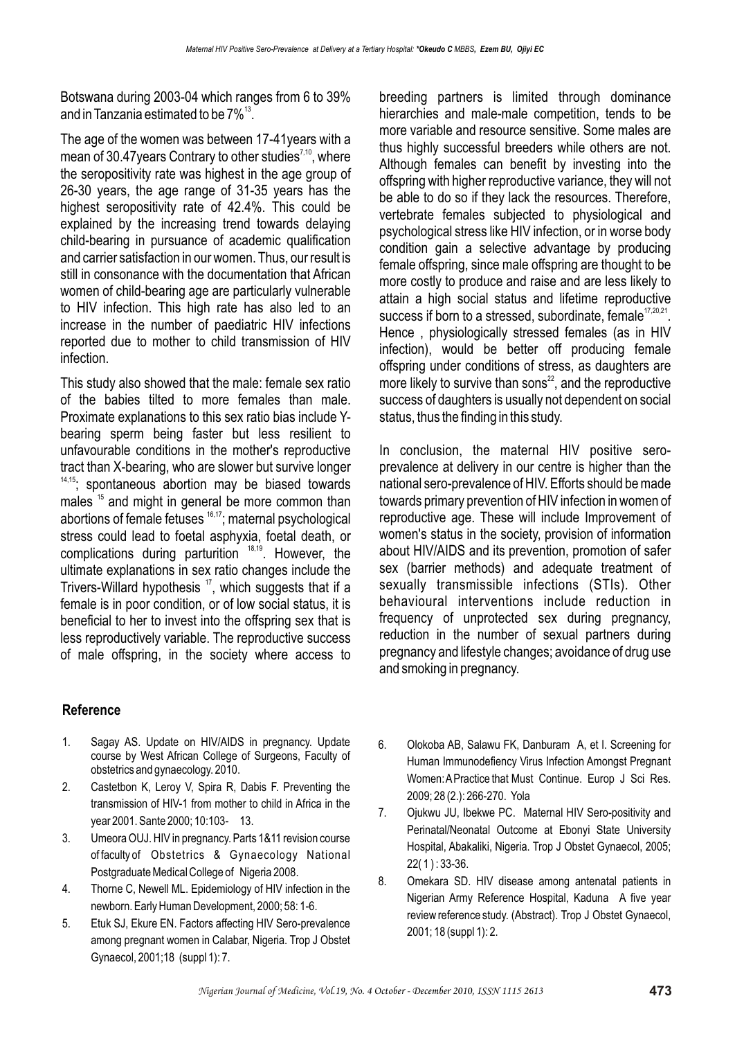Botswana during 2003-04 which ranges from 6 to 39% and in Tanzania estimated to be  $7\%$ <sup>13</sup>.

The age of the women was between 17-41years with a mean of 30.47 years Contrary to other studies<sup> $7,10$ </sup>, where the seropositivity rate was highest in the age group of 26-30 years, the age range of 31-35 years has the highest seropositivity rate of 42.4%. This could be explained by the increasing trend towards delaying child-bearing in pursuance of academic qualification and carrier satisfaction in our women. Thus, our result is still in consonance with the documentation that African women of child-bearing age are particularly vulnerable to HIV infection. This high rate has also led to an increase in the number of paediatric HIV infections reported due to mother to child transmission of HIV infection.

This study also showed that the male: female sex ratio of the babies tilted to more females than male. Proximate explanations to this sex ratio bias include Ybearing sperm being faster but less resilient to unfavourable conditions in the mother's reproductive tract than X-bearing, who are slower but survive longer  $14,15$ ; spontaneous abortion may be biased towards males <sup>15</sup> and might in general be more common than abortions of female fetuses <sup>16,17</sup>; maternal psychological stress could lead to foetal asphyxia, foetal death, or complications during parturition  $18,19$ . However, the ultimate explanations in sex ratio changes include the Trivers-Willard hypothesis  $17$ , which suggests that if a female is in poor condition, or of low social status, it is beneficial to her to invest into the offspring sex that is less reproductively variable. The reproductive success of male offspring, in the society where access to

## **Reference**

- 1. Sagay AS. Update on HIV/AIDS in pregnancy. Update course by West African College of Surgeons, Faculty of obstetrics and gynaecology. 2010.
- 2. Castetbon K, Leroy V, Spira R, Dabis F. Preventing the transmission of HIV-1 from mother to child in Africa in the year 2001. Sante 2000; 10:103- 13.
- 3. Umeora OUJ. HIV in pregnancy. Parts 1&11 revision course of faculty of Obstetrics & Gynaecology National Postgraduate Medical College of Nigeria 2008.
- 4. Thorne C, Newell ML. Epidemiology of HIV infection in the newborn. Early Human Development, 2000; 58: 1-6.
- 5. Etuk SJ, Ekure EN. Factors affecting HIV Sero-prevalence among pregnant women in Calabar, Nigeria. Trop J Obstet Gynaecol, 2001;18 (suppl 1): 7.

breeding partners is limited through dominance hierarchies and male-male competition, tends to be more variable and resource sensitive. Some males are thus highly successful breeders while others are not. Although females can benefit by investing into the offspring with higher reproductive variance, they will not be able to do so if they lack the resources. Therefore, vertebrate females subjected to physiological and psychological stress like HIV infection, or in worse body condition gain a selective advantage by producing female offspring, since male offspring are thought to be more costly to produce and raise and are less likely to attain a high social status and lifetime reproductive success if born to a stressed, subordinate, female $17,20,21$ . Hence , physiologically stressed females (as in HIV infection), would be better off producing female offspring under conditions of stress, as daughters are more likely to survive than sons $22$ , and the reproductive success of daughters is usually not dependent on social status, thus the finding in this study.

In conclusion, the maternal HIV positive seroprevalence at delivery in our centre is higher than the national sero-prevalence of HIV. Efforts should be made towards primary prevention of HIV infection in women of reproductive age. These will include Improvement of women's status in the society, provision of information about HIV/AIDS and its prevention, promotion of safer sex (barrier methods) and adequate treatment of sexually transmissible infections (STIs). Other behavioural interventions include reduction in frequency of unprotected sex during pregnancy, reduction in the number of sexual partners during pregnancy and lifestyle changes; avoidance of drug use and smoking in pregnancy.

- 6. Olokoba AB, Salawu FK, Danburam A, et l. Screening for Human Immunodefiency Virus Infection Amongst Pregnant Women: APractice that Must Continue. Europ J Sci Res. 2009; 28 (2.): 266-270. Yola
- 7. Ojukwu JU, Ibekwe PC. Maternal HIV Sero-positivity and Perinatal/Neonatal Outcome at Ebonyi State University Hospital, Abakaliki, Nigeria. Trop J Obstet Gynaecol, 2005; 22( 1 ) : 33-36.
- 8. Omekara SD. HIV disease among antenatal patients in Nigerian Army Reference Hospital, Kaduna A five year review reference study. (Abstract). Trop J Obstet Gynaecol, 2001; 18 (suppl 1): 2.